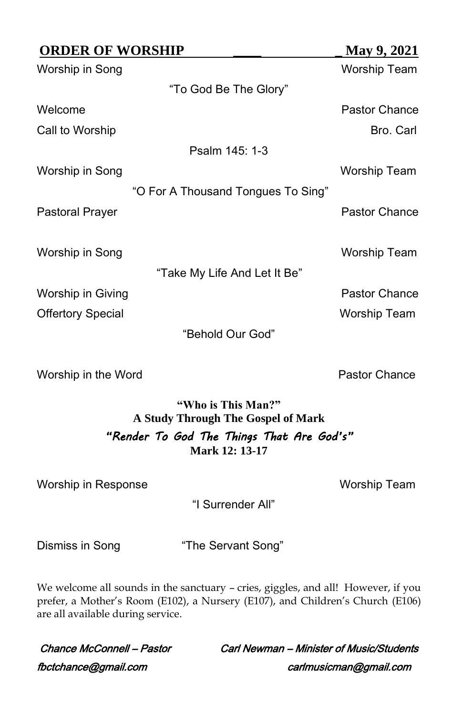| <b>ORDER OF WORSHIP</b>  |                                    | May 9, 2021         |
|--------------------------|------------------------------------|---------------------|
| Worship in Song          |                                    | <b>Worship Team</b> |
|                          | "To God Be The Glory"              |                     |
| Welcome                  |                                    | Pastor Chance       |
| Call to Worship          |                                    | Bro. Carl           |
|                          | Psalm 145: 1-3                     |                     |
| Worship in Song          |                                    | Worship Team        |
|                          | "O For A Thousand Tongues To Sing" |                     |
| Pastoral Prayer          |                                    | Pastor Chance       |
|                          |                                    |                     |
| Worship in Song          |                                    | Worship Team        |
|                          | "Take My Life And Let It Be"       |                     |
| Worship in Giving        |                                    | Pastor Chance       |
| <b>Offertory Special</b> |                                    | Worship Team        |
|                          | "Behold Our God"                   |                     |
|                          |                                    |                     |

Worship in the Word **Pastor Chance** 

## **"Who is This Man?" A Study Through The Gospel of Mark** *"Render To God The Things That Are God's"* **Mark 12: 13-17**

Worship in Response Worship Team

"I Surrender All"

Dismiss in Song "The Servant Song"

We welcome all sounds in the sanctuary - cries, giggles, and all! However, if you prefer, a Mother's Room (E102), a Nursery (E107), and Children's Church (E106) are all available during service.

fbctchance@gmail.com carlmusicman@gmail.com

Chance McConnell – Pastor Carl Newman – Minister of Music/Students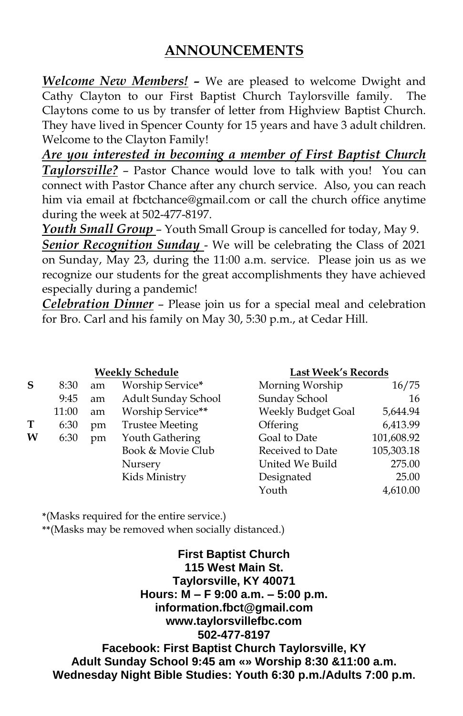# **ANNOUNCEMENTS**

*Welcome New Members! –* We are pleased to welcome Dwight and Cathy Clayton to our First Baptist Church Taylorsville family. The Claytons come to us by transfer of letter from Highview Baptist Church. They have lived in Spencer County for 15 years and have 3 adult children. Welcome to the Clayton Family!

*Are you interested in becoming a member of First Baptist Church Taylorsville?* – Pastor Chance would love to talk with you! You can connect with Pastor Chance after any church service. Also, you can reach him via email at [fbctchance@gmail.com](mailto:fbctchance@gmail.com) or call the church office anytime during the week at 502-477-8197.

*Youth Small Group* – Youth Small Group is cancelled for today, May 9.

**Senior Recognition Sunday - We will be celebrating the Class of 2021** on Sunday, May 23, during the 11:00 a.m. service. Please join us as we recognize our students for the great accomplishments they have achieved especially during a pandemic!

*Celebration Dinner* – Please join us for a special meal and celebration for Bro. Carl and his family on May 30, 5:30 p.m., at Cedar Hill.

|   | <b>Weekly Schedule</b> |    |                        | Last Week's Records |            |  |  |
|---|------------------------|----|------------------------|---------------------|------------|--|--|
| S | 8:30                   | am | Worship Service*       | Morning Worship     | 16/75      |  |  |
|   | 9:45                   | am | Adult Sunday School    | Sunday School       | 16         |  |  |
|   | 11:00                  | am | Worship Service**      | Weekly Budget Goal  | 5,644.94   |  |  |
| T | 6:30                   | pm | <b>Trustee Meeting</b> | Offering            | 6,413.99   |  |  |
| W | 6:30                   | pm | Youth Gathering        | Goal to Date        | 101,608.92 |  |  |
|   |                        |    | Book & Movie Club      | Received to Date    | 105,303.18 |  |  |
|   |                        |    | Nursery                | United We Build     | 275.00     |  |  |
|   |                        |    | Kids Ministry          | Designated          | 25.00      |  |  |
|   |                        |    |                        | Youth               | 4,610.00   |  |  |

**\***(Masks required for the entire service.)

**\*\***(Masks may be removed when socially distanced.)

**First Baptist Church 115 West Main St. Taylorsville, KY 40071 Hours: M – F 9:00 a.m. – 5:00 p.m. information.fbct@gmail.com www.taylorsvillefbc.com 502-477-8197 Facebook: First Baptist Church Taylorsville, KY Adult Sunday School 9:45 am «» Worship 8:30 &11:00 a.m. Wednesday Night Bible Studies: Youth 6:30 p.m./Adults 7:00 p.m.**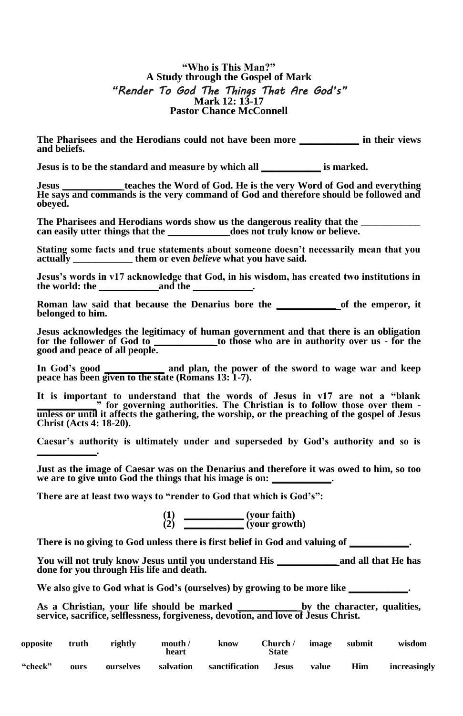#### **"Who is This Man?" A Study through the Gospel of Mark** *"Render To God The Things That Are God's"* **Mark 12: 13-17 Pastor Chance McConnell**

**The Pharisees and the Herodians could not have been more \_\_\_\_\_\_\_\_\_\_\_\_ in their views and beliefs.**

**Jesus is to be the standard and measure by which all \_\_\_\_\_\_\_\_\_\_\_\_ is marked.**

teaches the Word of God. He is the very Word of God and everything **He says and commands is the very command of God and therefore should be followed and obeyed.**

The Pharisees and Herodians words show us the dangerous reality that the **can easily utter things that the \_\_\_\_\_\_\_\_\_\_\_\_ does not truly know or believe.**

**Stating some facts and true statements about someone doesn't necessarily mean that you actually \_\_\_\_\_\_\_\_\_\_\_\_ them or even** *believe* **what you have said.**

**Jesus's words in v17 acknowledge that God, in his wisdom, has created two institutions in the world: the \_\_\_\_\_\_\_\_\_\_\_\_and the \_\_\_\_\_\_\_\_\_\_\_\_.**

**Roman law said that because the Denarius bore the \_\_\_\_\_\_\_\_\_\_\_\_ of the emperor, it belonged to him.** 

**Jesus acknowledges the legitimacy of human government and that there is an obligation for the follower of God to \_\_\_\_\_\_\_\_\_\_\_\_ to those who are in authority over us - for the good and peace of all people.** 

**In God's good \_\_\_\_\_\_\_\_\_\_\_\_ and plan, the power of the sword to wage war and keep peace has been given to the state (Romans 13: 1-7).**

**It is important to understand that the words of Jesus in v17 are not a "blank \_\_\_\_\_\_\_\_\_\_\_\_" for governing authorities. The Christian is to follow those over them unless or until it affects the gathering, the worship, or the preaching of the gospel of Jesus Christ (Acts 4: 18-20).**

**Caesar's authority is ultimately under and superseded by God's authority and so is \_\_\_\_\_\_\_\_\_\_\_\_.** 

**Just as the image of Caesar was on the Denarius and therefore it was owed to him, so too**  we are to give unto God the things that his image is on:

**There are at least two ways to "render to God that which is God's":**

**(1) \_\_\_\_\_\_\_\_\_\_\_\_ (your faith) (2) \_\_\_\_\_\_\_\_\_\_\_\_ (your growth)**

There is no giving to God unless there is first belief in God and valuing of  $\_\_$ 

**You will not truly know Jesus until you understand His \_\_\_\_\_\_\_\_\_\_\_\_ and all that He has done for you through His life and death.**

We also give to God what is God's (ourselves) by growing to be more like \_\_\_\_\_\_\_\_

**As a Christian, your life should be marked \_\_\_\_\_\_\_\_\_\_\_\_ by the character, qualities, service, sacrifice, selflessness, forgiveness, devotion, and love of Jesus Christ.** 

| opposite | truth | rightly   | mouth /<br>heart | know           | Church/<br>State | image | submit | wisdom       |
|----------|-------|-----------|------------------|----------------|------------------|-------|--------|--------------|
| "check"  | ours  | ourselves | salvation        | sanctification | <b>Jesus</b>     | value | Him    | increasingly |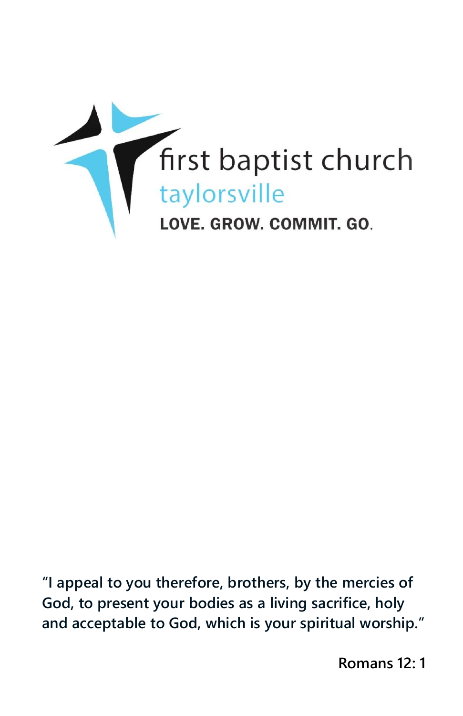

**"I appeal to you therefore, brothers, by the mercies of God, to present your bodies as a living sacrifice, holy and acceptable to God, which is your spiritual worship."**